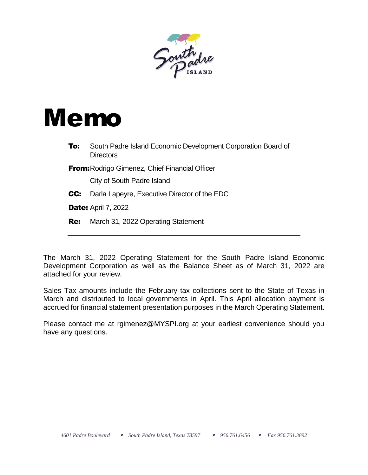

## Memo

- **To:** South Padre Island Economic Development Corporation Board of **Directors**
- **From: Rodrigo Gimenez, Chief Financial Officer**

City of South Padre Island

- **CC:** Darla Lapeyre, Executive Director of the EDC
- **Date: April 7, 2022**
- **Re:** March 31, 2022 Operating Statement

The March 31, 2022 Operating Statement for the South Padre Island Economic Development Corporation as well as the Balance Sheet as of March 31, 2022 are attached for your review.

Sales Tax amounts include the February tax collections sent to the State of Texas in March and distributed to local governments in April. This April allocation payment is accrued for financial statement presentation purposes in the March Operating Statement.

Please contact me at rgimenez@MYSPI.org at your earliest convenience should you have any questions.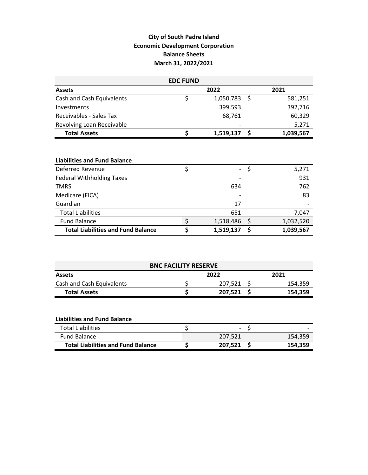## **City of South Padre Island Economic Development Corporation Balance Sheets March 31, 2022/2021**

| <b>EDC FUND</b>                           |    |                |     |           |  |  |  |  |  |
|-------------------------------------------|----|----------------|-----|-----------|--|--|--|--|--|
| <b>Assets</b>                             |    | 2022           |     | 2021      |  |  |  |  |  |
| Cash and Cash Equivalents                 | \$ | $1,050,783$ \$ |     | 581,251   |  |  |  |  |  |
| Investments                               |    | 399,593        |     | 392,716   |  |  |  |  |  |
| Receivables - Sales Tax                   |    | 68,761         |     | 60,329    |  |  |  |  |  |
| Revolving Loan Receivable                 |    |                |     | 5,271     |  |  |  |  |  |
| <b>Total Assets</b>                       | \$ | 1,519,137      | -\$ | 1,039,567 |  |  |  |  |  |
| <b>Liabilities and Fund Balance</b>       |    |                |     |           |  |  |  |  |  |
| Deferred Revenue                          | \$ |                | \$  | 5,271     |  |  |  |  |  |
| <b>Federal Withholding Taxes</b>          |    |                |     | 931       |  |  |  |  |  |
| <b>TMRS</b>                               |    | 634            |     | 762       |  |  |  |  |  |
| Medicare (FICA)                           |    |                |     | 83        |  |  |  |  |  |
| Guardian                                  |    | 17             |     |           |  |  |  |  |  |
| <b>Total Liabilities</b>                  |    | 651            |     | 7,047     |  |  |  |  |  |
| <b>Fund Balance</b>                       | \$ | 1,518,486      | \$  | 1,032,520 |  |  |  |  |  |
| <b>Total Liabilities and Fund Balance</b> | \$ | 1,519,137      | \$  | 1,039,567 |  |  |  |  |  |

| <b>BNC FACILITY RESERVE</b> |  |         |  |         |  |  |  |
|-----------------------------|--|---------|--|---------|--|--|--|
| <b>Assets</b>               |  | 2022    |  | 2021    |  |  |  |
| Cash and Cash Equivalents   |  | 207,521 |  | 154,359 |  |  |  |
| <b>Total Assets</b>         |  | 207,521 |  | 154,359 |  |  |  |

| Total Liabilities                         | $\overline{\phantom{a}}$ |         |
|-------------------------------------------|--------------------------|---------|
| <b>Fund Balance</b>                       | 207.521                  | 154.359 |
| <b>Total Liabilities and Fund Balance</b> | 207.521                  | 154.359 |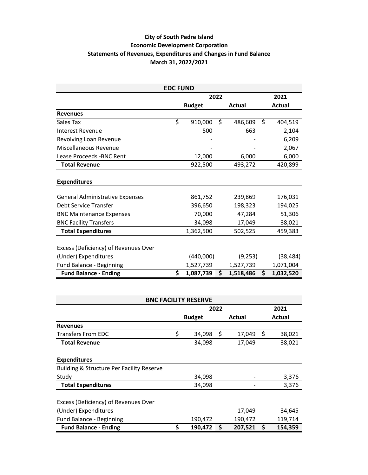## **City of South Padre Island Economic Development Corporation Statements of Revenues, Expenditures and Changes in Fund Balance March 31, 2022/2021**

| <b>EDC FUND</b>                        |    |               |         |           |      |           |  |  |  |  |
|----------------------------------------|----|---------------|---------|-----------|------|-----------|--|--|--|--|
|                                        |    |               | 2022    |           | 2021 |           |  |  |  |  |
|                                        |    | <b>Budget</b> |         | Actual    |      | Actual    |  |  |  |  |
| <b>Revenues</b>                        |    |               |         |           |      |           |  |  |  |  |
| Sales Tax                              | \$ | 910,000       | \$      | 486,609   | \$   | 404,519   |  |  |  |  |
| Interest Revenue                       |    | 500           |         | 663       |      | 2,104     |  |  |  |  |
| Revolving Loan Revenue                 |    |               |         |           |      | 6,209     |  |  |  |  |
| Miscellaneous Revenue                  |    |               |         |           |      | 2,067     |  |  |  |  |
| Lease Proceeds - BNC Rent              |    | 12,000        |         | 6,000     |      | 6,000     |  |  |  |  |
| <b>Total Revenue</b>                   |    | 922,500       | 493,272 |           |      | 420,899   |  |  |  |  |
|                                        |    |               |         |           |      |           |  |  |  |  |
| <b>Expenditures</b>                    |    |               |         |           |      |           |  |  |  |  |
|                                        |    |               |         |           |      |           |  |  |  |  |
| <b>General Administrative Expenses</b> |    | 861,752       |         | 239,869   |      | 176,031   |  |  |  |  |
| <b>Debt Service Transfer</b>           |    | 396,650       |         | 198,323   |      | 194,025   |  |  |  |  |
| <b>BNC Maintenance Expenses</b>        |    | 70,000        |         | 47,284    |      | 51,306    |  |  |  |  |
| <b>BNC Facility Transfers</b>          |    | 34,098        |         | 17,049    |      | 38,021    |  |  |  |  |
| <b>Total Expenditures</b>              |    | 1,362,500     |         | 502,525   |      | 459,383   |  |  |  |  |
|                                        |    |               |         |           |      |           |  |  |  |  |
| Excess (Deficiency) of Revenues Over   |    |               |         |           |      |           |  |  |  |  |
| (Under) Expenditures                   |    | (440,000)     |         | (9,253)   |      | (38, 484) |  |  |  |  |
| Fund Balance - Beginning               |    | 1,527,739     |         | 1,527,739 |      | 1,071,004 |  |  |  |  |
| <b>Fund Balance - Ending</b>           | \$ | 1,087,739     | \$      | 1,518,486 | \$   | 1,032,520 |  |  |  |  |

| <b>BNC FACILITY RESERVE</b>                          |    |               |      |         |    |         |  |  |  |  |  |
|------------------------------------------------------|----|---------------|------|---------|----|---------|--|--|--|--|--|
|                                                      |    |               | 2022 |         |    | 2021    |  |  |  |  |  |
|                                                      |    | <b>Budget</b> |      | Actual  |    | Actual  |  |  |  |  |  |
| <b>Revenues</b>                                      |    |               |      |         |    |         |  |  |  |  |  |
| <b>Transfers From EDC</b>                            | \$ | 34,098        | \$   | 17,049  | \$ | 38,021  |  |  |  |  |  |
| <b>Total Revenue</b>                                 |    | 34,098        |      | 17,049  |    | 38,021  |  |  |  |  |  |
|                                                      |    |               |      |         |    |         |  |  |  |  |  |
| <b>Expenditures</b>                                  |    |               |      |         |    |         |  |  |  |  |  |
| <b>Building &amp; Structure Per Facility Reserve</b> |    |               |      |         |    |         |  |  |  |  |  |
| Study                                                |    | 34,098        |      |         |    | 3,376   |  |  |  |  |  |
| <b>Total Expenditures</b>                            |    | 34,098        |      |         |    | 3,376   |  |  |  |  |  |
|                                                      |    |               |      |         |    |         |  |  |  |  |  |
| Excess (Deficiency) of Revenues Over                 |    |               |      |         |    |         |  |  |  |  |  |
| (Under) Expenditures                                 |    |               |      | 17,049  |    | 34,645  |  |  |  |  |  |
| Fund Balance - Beginning                             |    | 190,472       |      | 190,472 |    | 119,714 |  |  |  |  |  |
| <b>Fund Balance - Ending</b>                         | \$ | 190,472       | \$   | 207,521 | \$ | 154,359 |  |  |  |  |  |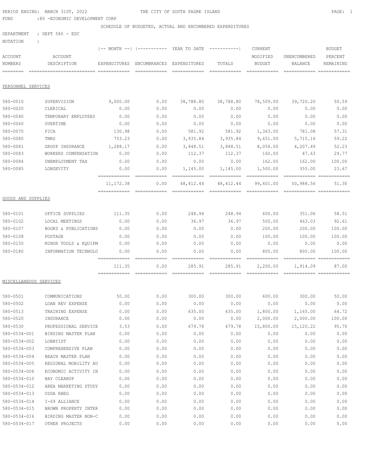|                           | PERIOD ENDING: MARCH 31ST, 2022        |                            |                      | THE CITY OF SOUTH PADRE ISLAND                           |                                                                                                                                                                                                                                                                                                                                                                                                                                                                                                      |                                                                                                                                                                                                                                                                                                                                                                                                                                                                                                     |                                         | PAGE: 1       |
|---------------------------|----------------------------------------|----------------------------|----------------------|----------------------------------------------------------|------------------------------------------------------------------------------------------------------------------------------------------------------------------------------------------------------------------------------------------------------------------------------------------------------------------------------------------------------------------------------------------------------------------------------------------------------------------------------------------------------|-----------------------------------------------------------------------------------------------------------------------------------------------------------------------------------------------------------------------------------------------------------------------------------------------------------------------------------------------------------------------------------------------------------------------------------------------------------------------------------------------------|-----------------------------------------|---------------|
| FUND                      | :80 -ECONOMIC DEVELOPMENT CORP         |                            |                      |                                                          |                                                                                                                                                                                                                                                                                                                                                                                                                                                                                                      |                                                                                                                                                                                                                                                                                                                                                                                                                                                                                                     |                                         |               |
|                           |                                        |                            |                      | SCHEDULE OF BUDGETED, ACTUAL AND ENCUMBERED EXPENDITURES |                                                                                                                                                                                                                                                                                                                                                                                                                                                                                                      |                                                                                                                                                                                                                                                                                                                                                                                                                                                                                                     |                                         |               |
| DEPARTMENT<br>NOTATION    | : DEPT 580 - EDC                       |                            |                      |                                                          |                                                                                                                                                                                                                                                                                                                                                                                                                                                                                                      |                                                                                                                                                                                                                                                                                                                                                                                                                                                                                                     |                                         |               |
|                           | $\ddot{\cdot}$                         |                            |                      | -- MONTH --   ---------- YEAR TO DATE ----------         |                                                                                                                                                                                                                                                                                                                                                                                                                                                                                                      | CURRENT                                                                                                                                                                                                                                                                                                                                                                                                                                                                                             |                                         | <b>BUDGET</b> |
| ACCOUNT                   | ACCOUNT                                |                            |                      |                                                          |                                                                                                                                                                                                                                                                                                                                                                                                                                                                                                      | MODIFIED                                                                                                                                                                                                                                                                                                                                                                                                                                                                                            | UNENCUMBERED                            | PERCENT       |
| NUMBERS                   | DESCRIPTION                            | EXPENDITURES               | ENCUMBRANCES         | EXPENDITURES                                             | TOTALS                                                                                                                                                                                                                                                                                                                                                                                                                                                                                               | BUDGET                                                                                                                                                                                                                                                                                                                                                                                                                                                                                              | BALANCE                                 | REMAINING     |
| ========                  | -------------------------- ----------- |                            | ============         |                                                          | $\begin{array}{c} \multicolumn{3}{c} {\textbf{1}} & \multicolumn{3}{c} {\textbf{2}} & \multicolumn{3}{c} {\textbf{3}} & \multicolumn{3}{c} {\textbf{4}} \\ \multicolumn{3}{c} {\textbf{2}} & \multicolumn{3}{c} {\textbf{3}} & \multicolumn{3}{c} {\textbf{4}} & \multicolumn{3}{c} {\textbf{5}} & \multicolumn{3}{c} {\textbf{6}} \\ \multicolumn{3}{c} {\textbf{4}} & \multicolumn{3}{c} {\textbf{5}} & \multicolumn{3}{c} {\textbf{6}} & \multicolumn{3}{c} {\textbf{6}} & \multicolumn{$         | ============                                                                                                                                                                                                                                                                                                                                                                                                                                                                                        | ------------- -------------             |               |
|                           |                                        |                            |                      |                                                          |                                                                                                                                                                                                                                                                                                                                                                                                                                                                                                      |                                                                                                                                                                                                                                                                                                                                                                                                                                                                                                     |                                         |               |
| PERSONNEL SERVICES        |                                        |                            |                      |                                                          |                                                                                                                                                                                                                                                                                                                                                                                                                                                                                                      |                                                                                                                                                                                                                                                                                                                                                                                                                                                                                                     |                                         |               |
| 580-0010                  | SUPERVISION                            | 9,000.00                   | 0.00                 | 38,788.80                                                | 38,788.80                                                                                                                                                                                                                                                                                                                                                                                                                                                                                            | 78,509.00                                                                                                                                                                                                                                                                                                                                                                                                                                                                                           | 39,720.20                               | 50.59         |
| 580-0020                  | CLERICAL                               | 0.00                       | 0.00                 | 0.00                                                     | 0.00                                                                                                                                                                                                                                                                                                                                                                                                                                                                                                 | 0.00                                                                                                                                                                                                                                                                                                                                                                                                                                                                                                | 0.00                                    | 0.00          |
| 580-0040                  | TEMPORARY EMPLOYEES                    | 0.00                       | 0.00                 | 0.00                                                     | 0.00                                                                                                                                                                                                                                                                                                                                                                                                                                                                                                 | 0.00                                                                                                                                                                                                                                                                                                                                                                                                                                                                                                | 0.00                                    | 0.00          |
| 580-0060                  | OVERTIME                               | 0.00                       | 0.00                 | 0.00                                                     | 0.00                                                                                                                                                                                                                                                                                                                                                                                                                                                                                                 | 0.00                                                                                                                                                                                                                                                                                                                                                                                                                                                                                                | 0.00                                    | 0.00          |
| 580-0070                  | FICA                                   | 130.98                     | 0.00                 | 581.92                                                   | 581.92                                                                                                                                                                                                                                                                                                                                                                                                                                                                                               | 1,363.00                                                                                                                                                                                                                                                                                                                                                                                                                                                                                            | 781.08                                  | 57.31         |
| 580-0080                  | TMRS                                   | 753.23                     | 0.00                 | 3,935.84                                                 | 3,935.84                                                                                                                                                                                                                                                                                                                                                                                                                                                                                             | 9,651.00                                                                                                                                                                                                                                                                                                                                                                                                                                                                                            | 5,715.16                                | 59.22         |
| 580-0081                  | GROUP INSURANCE                        | 1,288.17                   | 0.00                 | 3,848.51                                                 | 3,848.51                                                                                                                                                                                                                                                                                                                                                                                                                                                                                             | 8,056.00                                                                                                                                                                                                                                                                                                                                                                                                                                                                                            | 4,207.49                                | 52.23         |
| 580-0083                  | WORKERS COMPENSATION                   | 0.00                       | 0.00                 | 112.37                                                   | 112.37                                                                                                                                                                                                                                                                                                                                                                                                                                                                                               | 160.00                                                                                                                                                                                                                                                                                                                                                                                                                                                                                              | 47.63                                   | 29.77         |
| 580-0084                  | UNEMPLOYMENT TAX                       | 0.00                       | 0.00                 | 0.00                                                     | 0.00                                                                                                                                                                                                                                                                                                                                                                                                                                                                                                 | 162.00                                                                                                                                                                                                                                                                                                                                                                                                                                                                                              | 162.00                                  | 100.00        |
| 580-0085                  | LONGEVITY                              | 0.00                       | 0.00                 | 1,145.00                                                 | 1,145.00                                                                                                                                                                                                                                                                                                                                                                                                                                                                                             | 1,500.00                                                                                                                                                                                                                                                                                                                                                                                                                                                                                            | 355.00                                  | 23.67         |
|                           |                                        | ------------               |                      | ============                                             | ============                                                                                                                                                                                                                                                                                                                                                                                                                                                                                         | ============                                                                                                                                                                                                                                                                                                                                                                                                                                                                                        | ------------- ------------              |               |
|                           |                                        | 11, 172.38<br>============ | 0.00<br>============ | 48, 412. 44                                              | 48, 412.44<br>$\begin{array}{cccccccccccccc} \multicolumn{2}{c}{} & \multicolumn{2}{c}{} & \multicolumn{2}{c}{} & \multicolumn{2}{c}{} & \multicolumn{2}{c}{} & \multicolumn{2}{c}{} & \multicolumn{2}{c}{} & \multicolumn{2}{c}{} & \multicolumn{2}{c}{} & \multicolumn{2}{c}{} & \multicolumn{2}{c}{} & \multicolumn{2}{c}{} & \multicolumn{2}{c}{} & \multicolumn{2}{c}{} & \multicolumn{2}{c}{} & \multicolumn{2}{c}{} & \multicolumn{2}{c}{} & \multicolumn{2}{c}{} & \multicolumn{2}{c}{} & \$ | 99,401.00<br>$\begin{array}{cccccccccccccc} \multicolumn{2}{c}{} & \multicolumn{2}{c}{} & \multicolumn{2}{c}{} & \multicolumn{2}{c}{} & \multicolumn{2}{c}{} & \multicolumn{2}{c}{} & \multicolumn{2}{c}{} & \multicolumn{2}{c}{} & \multicolumn{2}{c}{} & \multicolumn{2}{c}{} & \multicolumn{2}{c}{} & \multicolumn{2}{c}{} & \multicolumn{2}{c}{} & \multicolumn{2}{c}{} & \multicolumn{2}{c}{} & \multicolumn{2}{c}{} & \multicolumn{2}{c}{} & \multicolumn{2}{c}{} & \multicolumn{2}{c}{} & \$ | 50,988.56<br>------------- ------------ | 51.30         |
| <b>GOODS AND SUPPLIES</b> |                                        |                            |                      |                                                          |                                                                                                                                                                                                                                                                                                                                                                                                                                                                                                      |                                                                                                                                                                                                                                                                                                                                                                                                                                                                                                     |                                         |               |
| 580-0101                  | OFFICE SUPPLIES                        | 111.35                     | 0.00                 | 248.94                                                   | 248.94                                                                                                                                                                                                                                                                                                                                                                                                                                                                                               | 600.00                                                                                                                                                                                                                                                                                                                                                                                                                                                                                              | 351.06                                  | 58.51         |
| 580-0102                  | LOCAL MEETINGS                         | 0.00                       | 0.00                 | 36.97                                                    | 36.97                                                                                                                                                                                                                                                                                                                                                                                                                                                                                                | 500.00                                                                                                                                                                                                                                                                                                                                                                                                                                                                                              | 463.03                                  | 92.61         |
| 580-0107                  | BOOKS & PUBLICATIONS                   | 0.00                       | 0.00                 | 0.00                                                     | 0.00                                                                                                                                                                                                                                                                                                                                                                                                                                                                                                 | 200.00                                                                                                                                                                                                                                                                                                                                                                                                                                                                                              | 200.00                                  | 100.00        |
| 580-0108                  | POSTAGE                                | 0.00                       | 0.00                 | 0.00                                                     | 0.00                                                                                                                                                                                                                                                                                                                                                                                                                                                                                                 | 100.00                                                                                                                                                                                                                                                                                                                                                                                                                                                                                              | 100.00                                  | 100.00        |
| 580-0150                  | MINOR TOOLS & EQUIPM                   | 0.00                       | 0.00                 | 0.00                                                     | 0.00                                                                                                                                                                                                                                                                                                                                                                                                                                                                                                 | 0.00                                                                                                                                                                                                                                                                                                                                                                                                                                                                                                | 0.00                                    | 0.00          |
| 580-0180                  | INFORMATION TECHNOLO                   | 0.00                       | 0.00                 | 0.00                                                     | 0.00                                                                                                                                                                                                                                                                                                                                                                                                                                                                                                 | 800.00                                                                                                                                                                                                                                                                                                                                                                                                                                                                                              | 800.00                                  | 100.00        |
|                           |                                        | ============               | ============         | ============                                             |                                                                                                                                                                                                                                                                                                                                                                                                                                                                                                      | ============                                                                                                                                                                                                                                                                                                                                                                                                                                                                                        | ============= ============              |               |
|                           |                                        | 111.35                     | 0.00                 | 285.91<br>------------- ------------                     | 285.91                                                                                                                                                                                                                                                                                                                                                                                                                                                                                               | 2,200.00<br>============                                                                                                                                                                                                                                                                                                                                                                                                                                                                            | 1,914.09                                | 87.00         |
| MISCELLANEOUS SERVICES    |                                        |                            |                      |                                                          |                                                                                                                                                                                                                                                                                                                                                                                                                                                                                                      |                                                                                                                                                                                                                                                                                                                                                                                                                                                                                                     |                                         |               |
| 580-0501                  | COMMUNICATIONS                         | 50.00                      | 0.00                 | 300.00                                                   | 300.00                                                                                                                                                                                                                                                                                                                                                                                                                                                                                               | 600.00                                                                                                                                                                                                                                                                                                                                                                                                                                                                                              | 300.00                                  | 50.00         |
| 580-0502                  | LOAN REV EXPENSE                       | 0.00                       | 0.00                 | 0.00                                                     | 0.00                                                                                                                                                                                                                                                                                                                                                                                                                                                                                                 | 0.00                                                                                                                                                                                                                                                                                                                                                                                                                                                                                                | 0.00                                    | 0.00          |
| 580-0513                  | TRAINING EXPENSE                       | 0.00                       | 0.00                 | 635.00                                                   | 635.00                                                                                                                                                                                                                                                                                                                                                                                                                                                                                               | 1,800.00                                                                                                                                                                                                                                                                                                                                                                                                                                                                                            | 1,165.00                                | 64.72         |
| 580-0520                  | INSURANCE                              | 0.00                       | 0.00                 | 0.00                                                     | 0.00                                                                                                                                                                                                                                                                                                                                                                                                                                                                                                 | 2,000.00                                                                                                                                                                                                                                                                                                                                                                                                                                                                                            | 2,000.00                                | 100.00        |
| 580-0530                  | PROFESSIONAL SERVICE                   | 3.53                       | 0.00                 | 679.78                                                   | 679.78                                                                                                                                                                                                                                                                                                                                                                                                                                                                                               | 15,800.00                                                                                                                                                                                                                                                                                                                                                                                                                                                                                           | 15,120.22                               | 95.70         |
| 580-0534-001              | BIRDING MASTER PLAN                    | 0.00                       | 0.00                 | 0.00                                                     | 0.00                                                                                                                                                                                                                                                                                                                                                                                                                                                                                                 | 0.00                                                                                                                                                                                                                                                                                                                                                                                                                                                                                                | 0.00                                    | 0.00          |
| 580-0534-002              | LOBBYIST                               | 0.00                       | 0.00                 | 0.00                                                     | 0.00                                                                                                                                                                                                                                                                                                                                                                                                                                                                                                 | 0.00                                                                                                                                                                                                                                                                                                                                                                                                                                                                                                | 0.00                                    | 0.00          |
| 580-0534-003              | COMPREHENSIVE PLAN                     | 0.00                       | 0.00                 | 0.00                                                     | 0.00                                                                                                                                                                                                                                                                                                                                                                                                                                                                                                 | 0.00                                                                                                                                                                                                                                                                                                                                                                                                                                                                                                | 0.00                                    | 0.00          |
| 580-0534-004              | BEACH MASTER PLAN                      | 0.00                       | 0.00                 | 0.00                                                     | 0.00                                                                                                                                                                                                                                                                                                                                                                                                                                                                                                 | 0.00                                                                                                                                                                                                                                                                                                                                                                                                                                                                                                | 0.00                                    | 0.00          |
| 580-0534-005              | REGIONAL MOBILITY AU                   | 0.00                       | 0.00                 | 0.00                                                     | 0.00                                                                                                                                                                                                                                                                                                                                                                                                                                                                                                 | 0.00                                                                                                                                                                                                                                                                                                                                                                                                                                                                                                | 0.00                                    | 0.00          |
| 580-0534-006              | ECONOMIC ACTIVITY IN                   | 0.00                       | 0.00                 | 0.00                                                     | 0.00                                                                                                                                                                                                                                                                                                                                                                                                                                                                                                 | 0.00                                                                                                                                                                                                                                                                                                                                                                                                                                                                                                | 0.00                                    | 0.00          |
| 580-0534-010              | BAY CLEANUP                            | 0.00                       | 0.00                 | 0.00                                                     | 0.00                                                                                                                                                                                                                                                                                                                                                                                                                                                                                                 | 0.00                                                                                                                                                                                                                                                                                                                                                                                                                                                                                                | 0.00                                    | 0.00          |
| 580-0534-012              | AREA MARKETING STUDY                   | 0.00                       | 0.00                 | 0.00                                                     | 0.00                                                                                                                                                                                                                                                                                                                                                                                                                                                                                                 | 0.00                                                                                                                                                                                                                                                                                                                                                                                                                                                                                                | 0.00                                    | 0.00          |
| 580-0534-013              | USDA RBEG                              | 0.00                       | 0.00                 | 0.00                                                     | 0.00                                                                                                                                                                                                                                                                                                                                                                                                                                                                                                 | 0.00                                                                                                                                                                                                                                                                                                                                                                                                                                                                                                | 0.00                                    | 0.00          |
| 580-0534-014              | I-69 ALLIANCE                          | 0.00                       | 0.00                 | 0.00                                                     | 0.00                                                                                                                                                                                                                                                                                                                                                                                                                                                                                                 | 0.00                                                                                                                                                                                                                                                                                                                                                                                                                                                                                                | 0.00                                    | 0.00          |
| 580-0534-015              | BROWN PROPERTY INTER                   | 0.00                       | 0.00                 | 0.00                                                     | 0.00                                                                                                                                                                                                                                                                                                                                                                                                                                                                                                 | 0.00                                                                                                                                                                                                                                                                                                                                                                                                                                                                                                | 0.00                                    | 0.00          |
| 580-0534-016              | BIRDING MASTER NON-C                   | 0.00                       | 0.00                 | 0.00                                                     | 0.00                                                                                                                                                                                                                                                                                                                                                                                                                                                                                                 | 0.00                                                                                                                                                                                                                                                                                                                                                                                                                                                                                                | 0.00                                    | 0.00          |

580-0534-017 OTHER PROJECTS 0.00 0.00 0.00 0.00 0.00 0.00 0.00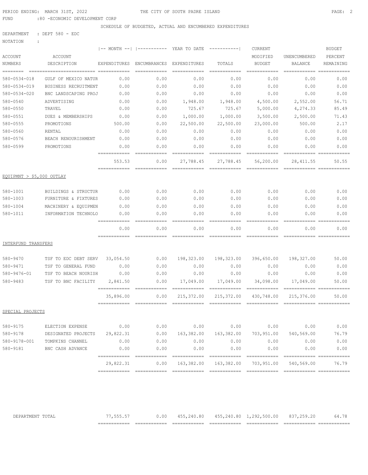PERIOD ENDING: MARCH 31ST, 2022 THE CITY OF SOUTH PADRE ISLAND PAGE: 2

FUND :80 -ECONOMIC DEVELOPMENT CORP

SCHEDULE OF BUDGETED, ACTUAL AND ENCUMBERED EXPENDITURES

| NOTATION<br>$\ddot{\cdot}$<br>ACCOUNT | ACCOUNT              |                           | $ ---MONTH ---  $ $ -----$       | YEAR TO DATE -----------  |                           | CURRENT<br>MODIFIED                                                                                                                                                                                                                                                                                                                                                                                                                                                                                  | UNENCUMBERED                           | <b>BUDGET</b><br>PERCENT |
|---------------------------------------|----------------------|---------------------------|----------------------------------|---------------------------|---------------------------|------------------------------------------------------------------------------------------------------------------------------------------------------------------------------------------------------------------------------------------------------------------------------------------------------------------------------------------------------------------------------------------------------------------------------------------------------------------------------------------------------|----------------------------------------|--------------------------|
| NUMBERS<br>$=$ = = = = = = = =        | DESCRIPTION          | EXPENDITURES              | ENCUMBRANCES                     | EXPENDITURES              | TOTALS                    | <b>BUDGET</b>                                                                                                                                                                                                                                                                                                                                                                                                                                                                                        | <b>BALANCE</b>                         | REMAINING                |
| 580-0534-018                          | GULF OF MEXICO NATUR | 0.00                      | 0.00                             | 0.00                      | 0.00                      | 0.00                                                                                                                                                                                                                                                                                                                                                                                                                                                                                                 | 0.00                                   | 0.00                     |
| 580-0534-019                          | BUSINESS RECRUITMENT | 0.00                      | 0.00                             | 0.00                      | 0.00                      | 0.00                                                                                                                                                                                                                                                                                                                                                                                                                                                                                                 | 0.00                                   | 0.00                     |
| 580-0534-020                          | BNC LANDSCAPING PROJ | 0.00                      | 0.00                             | 0.00                      | 0.00                      | 0.00                                                                                                                                                                                                                                                                                                                                                                                                                                                                                                 | 0.00                                   | 0.00                     |
| 580-0540                              | ADVERTISING          | 0.00                      | 0.00                             | 1,948.00                  | 1,948.00                  | 4,500.00                                                                                                                                                                                                                                                                                                                                                                                                                                                                                             | 2,552.00                               | 56.71                    |
| 580-0550                              | TRAVEL               | 0.00                      | 0.00                             | 725.67                    | 725.67                    | 5,000.00                                                                                                                                                                                                                                                                                                                                                                                                                                                                                             | 4,274.33                               | 85.49                    |
| 580-0551                              | DUES & MEMBERSHIPS   | 0.00                      | 0.00                             | 1,000.00                  | 1,000.00                  | 3,500.00                                                                                                                                                                                                                                                                                                                                                                                                                                                                                             | 2,500.00                               | 71.43                    |
| 580-0555                              | PROMOTIONS           | 500.00                    | 0.00                             | 22,500.00                 | 22,500.00                 | 23,000.00                                                                                                                                                                                                                                                                                                                                                                                                                                                                                            | 500.00                                 | 2.17                     |
| 580-0560                              | RENTAL               | 0.00                      | 0.00                             | 0.00                      | 0.00                      | 0.00                                                                                                                                                                                                                                                                                                                                                                                                                                                                                                 | 0.00                                   | 0.00                     |
| 580-0576                              | BEACH RENOURISHMENT  | 0.00                      | 0.00                             | 0.00                      | 0.00                      | 0.00                                                                                                                                                                                                                                                                                                                                                                                                                                                                                                 | 0.00                                   | 0.00                     |
| 580-0599                              | PROMOTIONS           | 0.00<br>------------      | 0.00                             | 0.00<br>---------         | 0.00<br>============      | 0.00<br>============                                                                                                                                                                                                                                                                                                                                                                                                                                                                                 | 0.00                                   | 0.00<br>============     |
|                                       |                      | 553.53                    | 0.00                             | 27,788.45                 | 27,788.45                 | 56,200.00                                                                                                                                                                                                                                                                                                                                                                                                                                                                                            | 28, 411.55                             | 50.55                    |
| EQUIPMNT > \$5,000 OUTLAY             |                      |                           |                                  |                           |                           |                                                                                                                                                                                                                                                                                                                                                                                                                                                                                                      |                                        |                          |
| 580-1001                              | BUILDINGS & STRUCTUR | 0.00                      | 0.00                             | 0.00                      | 0.00                      | 0.00                                                                                                                                                                                                                                                                                                                                                                                                                                                                                                 | 0.00                                   | 0.00                     |
| 580-1003                              | FURNITURE & FIXTURES | 0.00                      | 0.00                             | 0.00                      | 0.00                      | 0.00                                                                                                                                                                                                                                                                                                                                                                                                                                                                                                 | 0.00                                   | 0.00                     |
| 580-1004                              | MACHINERY & EQUIPMEN | 0.00                      | 0.00                             | 0.00                      | 0.00                      | 0.00                                                                                                                                                                                                                                                                                                                                                                                                                                                                                                 | 0.00                                   | 0.00                     |
| 580-1011                              | INFORMATION TECHNOLO | 0.00<br>============      | 0.00                             | 0.00<br>=====             | 0.00                      | 0.00                                                                                                                                                                                                                                                                                                                                                                                                                                                                                                 | 0.00                                   | 0.00<br>======           |
|                                       |                      | 0.00                      | 0.00                             | 0.00                      | 0.00                      | 0.00                                                                                                                                                                                                                                                                                                                                                                                                                                                                                                 | 0.00                                   | 0.00<br>--------         |
| INTERFUND TRANSFERS                   |                      | ============              | ============                     | ============              | ============              | ============                                                                                                                                                                                                                                                                                                                                                                                                                                                                                         |                                        |                          |
| 580-9470                              | TSF TO EDC DEBT SERV | 33,054.50                 | 0.00                             | 198,323.00                | 198,323.00                | 396,650.00                                                                                                                                                                                                                                                                                                                                                                                                                                                                                           | 198,327.00                             | 50.00                    |
| 580-9471                              | TSF TO GENERAL FUND  | 0.00                      | 0.00                             | 0.00                      | 0.00                      | 0.00                                                                                                                                                                                                                                                                                                                                                                                                                                                                                                 | 0.00                                   | 0.00                     |
| $580 - 9476 - 01$                     | TSF TO BEACH NOURISH | 0.00                      | 0.00                             | 0.00                      | 0.00                      | 0.00                                                                                                                                                                                                                                                                                                                                                                                                                                                                                                 | 0.00                                   | 0.00                     |
| 580-9483                              | TSF TO BNC FACILITY  | 2,841.50<br>------------- | 0.00<br>-------------            | 17,049.00<br>------------ | 17,049.00<br>------------ | 34,098.00<br>$\begin{array}{cccccccccc} \multicolumn{2}{c}{} & \multicolumn{2}{c}{} & \multicolumn{2}{c}{} & \multicolumn{2}{c}{} & \multicolumn{2}{c}{} & \multicolumn{2}{c}{} & \multicolumn{2}{c}{} & \multicolumn{2}{c}{} & \multicolumn{2}{c}{} & \multicolumn{2}{c}{} & \multicolumn{2}{c}{} & \multicolumn{2}{c}{} & \multicolumn{2}{c}{} & \multicolumn{2}{c}{} & \multicolumn{2}{c}{} & \multicolumn{2}{c}{} & \multicolumn{2}{c}{} & \multicolumn{2}{c}{} & \multicolumn{2}{c}{} & \mult$  | 17,049.00<br>------------ ------------ | 50.00                    |
|                                       |                      | 35,896.00<br>------------ | 0.00                             | 215,372.00                | 215,372.00                | 430,748.00<br>$\begin{array}{cccccccccc} \multicolumn{2}{c}{} & \multicolumn{2}{c}{} & \multicolumn{2}{c}{} & \multicolumn{2}{c}{} & \multicolumn{2}{c}{} & \multicolumn{2}{c}{} & \multicolumn{2}{c}{} & \multicolumn{2}{c}{} & \multicolumn{2}{c}{} & \multicolumn{2}{c}{} & \multicolumn{2}{c}{} & \multicolumn{2}{c}{} & \multicolumn{2}{c}{} & \multicolumn{2}{c}{} & \multicolumn{2}{c}{} & \multicolumn{2}{c}{} & \multicolumn{2}{c}{} & \multicolumn{2}{c}{} & \multicolumn{2}{c}{} & \mult$ | 215,376.00                             | 50.00                    |
| SPECIAL PROJECTS                      |                      |                           |                                  |                           |                           |                                                                                                                                                                                                                                                                                                                                                                                                                                                                                                      |                                        |                          |
| 580-9175                              | ELECTION EXPENSE     | 0.00                      |                                  | 0.00                      | 0.00                      | 0.00                                                                                                                                                                                                                                                                                                                                                                                                                                                                                                 | 0.00<br>0.00                           | 0.00                     |
| 580-9178                              | DESIGNATED PROJECTS  | 29,822.31                 | 0.00                             |                           | 163,382.00 163,382.00     | 703,951.00                                                                                                                                                                                                                                                                                                                                                                                                                                                                                           | 540,569.00                             | 76.79                    |
| 580-9178-001                          | TOMPKINS CHANNEL     | 0.00                      | 0.00                             | 0.00                      | 0.00                      | 0.00                                                                                                                                                                                                                                                                                                                                                                                                                                                                                                 | 0.00                                   | 0.00                     |
| 580-9181                              | BNC CASH ADVANCE     | 0.00                      | 0.00                             | 0.00                      | 0.00                      | 0.00                                                                                                                                                                                                                                                                                                                                                                                                                                                                                                 | 0.00                                   | 0.00                     |
|                                       |                      | 29,822.31                 | ------------ -----------<br>0.00 | 163,382.00                | 163,382.00                | 703,951.00                                                                                                                                                                                                                                                                                                                                                                                                                                                                                           | 540,569.00                             | 76.79                    |
|                                       |                      |                           |                                  |                           |                           |                                                                                                                                                                                                                                                                                                                                                                                                                                                                                                      |                                        |                          |

|                                     | _____________<br>______________ | _______<br>____<br>____________ | _______<br>----<br>____________           | _______<br>___<br>____________ | $- - - -$<br>________<br>_____________ | $- -$<br>_____________ | _____<br>______________ |
|-------------------------------------|---------------------------------|---------------------------------|-------------------------------------------|--------------------------------|----------------------------------------|------------------------|-------------------------|
| TOTAL<br>DE PARTMENT<br>DEFANITEN I | --<br>.                         | 0.00                            | .<br>٬4∩<br>455,240.80<br>45 <sup>h</sup> | 1 240.80°، در،                 | 1,292,500.00                           | <u>v 2</u><br>75 G.    |                         |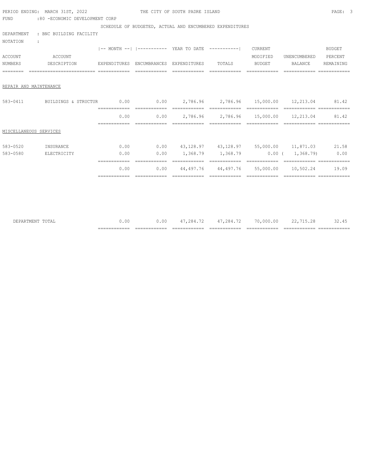|                                       | PERIOD ENDING: MARCH 31ST, 2022        |               | THE CITY OF SOUTH PADRE ISLAND         |                                                              |                                                                                                                                                                                                                                                                                                                                                                                                                                                                                        |                                                                       | PAGE: 3   |
|---------------------------------------|----------------------------------------|---------------|----------------------------------------|--------------------------------------------------------------|----------------------------------------------------------------------------------------------------------------------------------------------------------------------------------------------------------------------------------------------------------------------------------------------------------------------------------------------------------------------------------------------------------------------------------------------------------------------------------------|-----------------------------------------------------------------------|-----------|
| FUND                                  | :80 -ECONOMIC DEVELOPMENT CORP         |               |                                        |                                                              |                                                                                                                                                                                                                                                                                                                                                                                                                                                                                        |                                                                       |           |
|                                       |                                        |               |                                        | SCHEDULE OF BUDGETED, ACTUAL AND ENCUMBERED EXPENDITURES     |                                                                                                                                                                                                                                                                                                                                                                                                                                                                                        |                                                                       |           |
|                                       | DEPARTMENT : BNC BUILDING FACILITY     |               |                                        |                                                              |                                                                                                                                                                                                                                                                                                                                                                                                                                                                                        |                                                                       |           |
| <b>NOTATION</b><br>$\sim$ 1.100 $\pm$ |                                        |               |                                        |                                                              |                                                                                                                                                                                                                                                                                                                                                                                                                                                                                        |                                                                       |           |
|                                       |                                        |               |                                        | -- MONTH --   ----------- YEAR TO DATE  -----------  CURRENT |                                                                                                                                                                                                                                                                                                                                                                                                                                                                                        |                                                                       | BUDGET    |
| <b>ACCOUNT</b>                        | ACCOUNT                                |               |                                        |                                                              | MODIFIED                                                                                                                                                                                                                                                                                                                                                                                                                                                                               | UNENCUMBERED PERCENT                                                  |           |
|                                       | NUMBERS DESCRIPTION                    |               | EXPENDITURES ENCUMBRANCES EXPENDITURES | TOTALS                                                       | BUDGET                                                                                                                                                                                                                                                                                                                                                                                                                                                                                 | BALANCE                                                               | REMAINING |
|                                       | --------------------------- ---------- |               |                                        | ============================                                 |                                                                                                                                                                                                                                                                                                                                                                                                                                                                                        |                                                                       |           |
|                                       |                                        |               |                                        |                                                              |                                                                                                                                                                                                                                                                                                                                                                                                                                                                                        |                                                                       |           |
| REPAIR AND MAINTENANCE                |                                        |               |                                        |                                                              |                                                                                                                                                                                                                                                                                                                                                                                                                                                                                        |                                                                       |           |
|                                       |                                        |               |                                        |                                                              |                                                                                                                                                                                                                                                                                                                                                                                                                                                                                        |                                                                       |           |
| $583 - 0411$                          |                                        |               |                                        |                                                              |                                                                                                                                                                                                                                                                                                                                                                                                                                                                                        |                                                                       |           |
|                                       |                                        | 0.00          |                                        |                                                              |                                                                                                                                                                                                                                                                                                                                                                                                                                                                                        | $0.00$ 2,786.96 2,786.96 15,000.00 12,213.04 81.42                    |           |
|                                       |                                        |               |                                        | -------------                                                | $\begin{array}{cccccccccccccc} \multicolumn{2}{c}{} & \multicolumn{2}{c}{} & \multicolumn{2}{c}{} & \multicolumn{2}{c}{} & \multicolumn{2}{c}{} & \multicolumn{2}{c}{} & \multicolumn{2}{c}{} & \multicolumn{2}{c}{} & \multicolumn{2}{c}{} & \multicolumn{2}{c}{} & \multicolumn{2}{c}{} & \multicolumn{2}{c}{} & \multicolumn{2}{c}{} & \multicolumn{2}{c}{} & \multicolumn{2}{c}{} & \multicolumn{2}{c}{} & \multicolumn{2}{c}{} & \multicolumn{2}{c}{} & \multicolumn{2}{c}{} & \$ |                                                                       |           |
| MISCELLANEOUS SERVICES                |                                        |               |                                        |                                                              |                                                                                                                                                                                                                                                                                                                                                                                                                                                                                        |                                                                       |           |
|                                       |                                        |               |                                        |                                                              |                                                                                                                                                                                                                                                                                                                                                                                                                                                                                        |                                                                       |           |
| 583-0520                              | INSURANCE                              |               |                                        |                                                              |                                                                                                                                                                                                                                                                                                                                                                                                                                                                                        | $0.00$ $0.00$ $43,128.97$ $43,128.97$ $55,000.00$ $11,871.03$ $21.58$ |           |
| 583-0580                              | ELECTRICITY                            | 0.00          |                                        |                                                              |                                                                                                                                                                                                                                                                                                                                                                                                                                                                                        | $0.00$ $1,368.79$ $1,368.79$ $0.00$ $1,368.79$ $0.00$                 |           |
|                                       |                                        |               |                                        |                                                              |                                                                                                                                                                                                                                                                                                                                                                                                                                                                                        |                                                                       |           |
|                                       |                                        | 0.00          | 0.00                                   |                                                              |                                                                                                                                                                                                                                                                                                                                                                                                                                                                                        | 44,497.76  44,497.76  55,000.00  10,502.24  19.09                     |           |
|                                       |                                        | ------------- |                                        |                                                              |                                                                                                                                                                                                                                                                                                                                                                                                                                                                                        |                                                                       |           |
|                                       |                                        |               |                                        |                                                              |                                                                                                                                                                                                                                                                                                                                                                                                                                                                                        |                                                                       |           |
|                                       |                                        |               |                                        |                                                              |                                                                                                                                                                                                                                                                                                                                                                                                                                                                                        |                                                                       |           |

|     | ____________<br>______________ | ___<br>_______<br>____________ | _______<br>____<br>____________ | ___<br>_______<br>____________ | $- - - -$<br>--------<br>____________ | $- -$<br>_____ | ___      |
|-----|--------------------------------|--------------------------------|---------------------------------|--------------------------------|---------------------------------------|----------------|----------|
| ΊA. | v.vv                           | 0.00                           | $\sim$<br>.<br>.                | $ -$<br>∕ ∺ Д<br>. .           | ™ ∩00.∪∪                              | 10.CV          | ے ب<br>. |